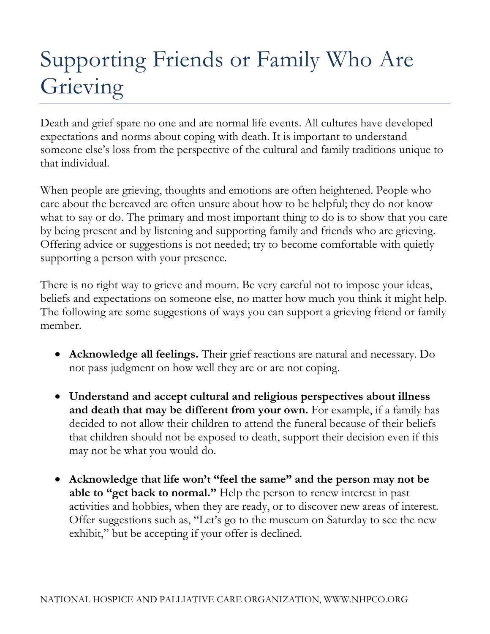## Supporting Friends or Family Who Are Grieving

Death and grief spare no one and are normal life events. All cultures have developed expectations and norms about coping with death. It is important to understand someone else's loss from the perspective of the cultural and family traditions unique to that individual.

When people are grieving, thoughts and emotions are often heightened. People who care about the bereaved are often unsure about how to be helpful; they do not know what to say or do. The primary and most important thing to do is to show that you care by being present and by listening and supporting family and friends who are grieving. Offering advice or suggestions is not needed; try to become comfortable with quietly supporting a person with your presence.

There is no right way to grieve and mourn. Be very careful not to impose your ideas, beliefs and expectations on someone else, no matter how much you think it might help. The following are some suggestions of ways you can support a grieving friend or family member.

- **Acknowledge all feelings.** Their grief reactions are natural and necessary. Do not pass judgment on how well they are or are not coping.
- **Understand and accept cultural and religious perspectives about illness and death that may be different from your own.** For example, if a family has decided to not allow their children to attend the funeral because of their beliefs that children should not be exposed to death, support their decision even if this may not be what you would do.
- **Acknowledge that life won't "feel the same" and the person may not be able to "get back to normal."** Help the person to renew interest in past activities and hobbies, when they are ready, or to discover new areas of interest. Offer suggestions such as, "Let's go to the museum on Saturday to see the new exhibit," but be accepting if your offer is declined.